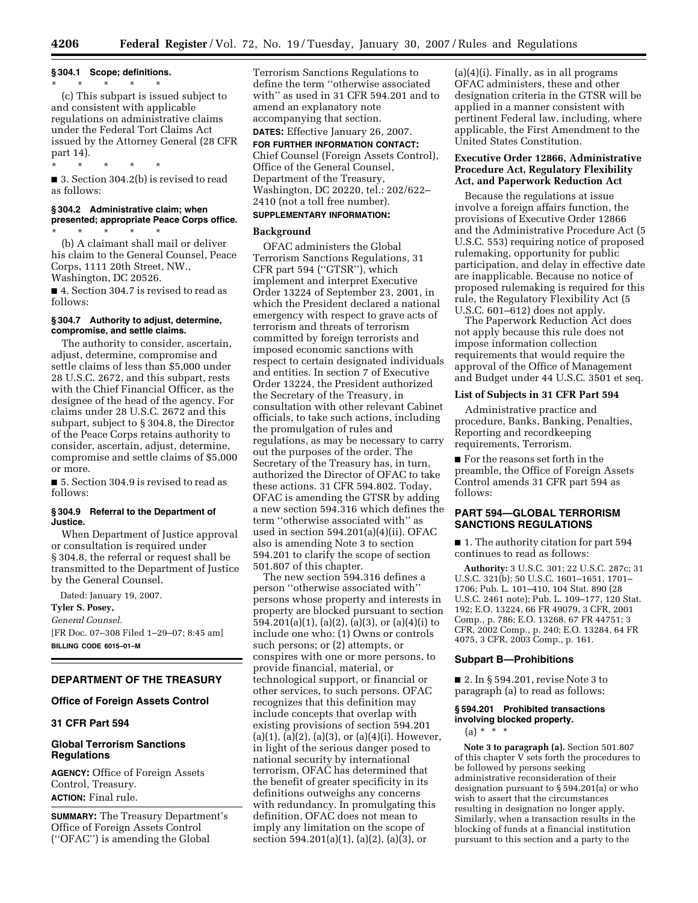# **§ 304.1 Scope; definitions.**

\* \* \* \* \* (c) This subpart is issued subject to and consistent with applicable regulations on administrative claims under the Federal Tort Claims Act issued by the Attorney General (28 CFR part 14).

\* \* \* \* \*

■ 3. Section 304.2(b) is revised to read as follows:

#### **§ 304.2 Administrative claim; when presented; appropriate Peace Corps office.**

\* \* \* \* \* (b) A claimant shall mail or deliver his claim to the General Counsel, Peace Corps, 1111 20th Street, NW., Washington, DC 20526.

■ 4. Section 304.7 is revised to read as follows:

### **§ 304.7 Authority to adjust, determine, compromise, and settle claims.**

The authority to consider, ascertain, adjust, determine, compromise and settle claims of less than \$5,000 under 28 U.S.C. 2672, and this subpart, rests with the Chief Financial Officer, as the designee of the head of the agency. For claims under 28 U.S.C. 2672 and this subpart, subject to § 304.8, the Director of the Peace Corps retains authority to consider, ascertain, adjust, determine, compromise and settle claims of \$5,000 or more.

■ 5. Section 304.9 is revised to read as follows:

#### **§ 304.9 Referral to the Department of Justice.**

When Department of Justice approval or consultation is required under § 304.8, the referral or request shall be transmitted to the Department of Justice by the General Counsel.

Dated: January 19, 2007.

## **Tyler S. Posey,**

*General Counsel.*  [FR Doc. 07–308 Filed 1–29–07; 8:45 am] **BILLING CODE 6015–01–M** 

# **DEPARTMENT OF THE TREASURY**

#### **Office of Foreign Assets Control**

# **31 CFR Part 594**

## **Global Terrorism Sanctions Regulations**

**AGENCY:** Office of Foreign Assets Control, Treasury. **ACTION:** Final rule.

**SUMMARY:** The Treasury Department's Office of Foreign Assets Control (''OFAC'') is amending the Global

Terrorism Sanctions Regulations to define the term ''otherwise associated with'' as used in 31 CFR 594.201 and to amend an explanatory note accompanying that section.

## **DATES:** Effective January 26, 2007. **FOR FURTHER INFORMATION CONTACT:**

Chief Counsel (Foreign Assets Control), Office of the General Counsel, Department of the Treasury, Washington, DC 20220, tel.: 202/622– 2410 (not a toll free number). **SUPPLEMENTARY INFORMATION:** 

# **Background**

OFAC administers the Global Terrorism Sanctions Regulations, 31 CFR part 594 (''GTSR''), which implement and interpret Executive Order 13224 of September 23, 2001, in which the President declared a national emergency with respect to grave acts of terrorism and threats of terrorism committed by foreign terrorists and imposed economic sanctions with respect to certain designated individuals and entities. In section 7 of Executive Order 13224, the President authorized the Secretary of the Treasury, in consultation with other relevant Cabinet officials, to take such actions, including the promulgation of rules and regulations, as may be necessary to carry out the purposes of the order. The Secretary of the Treasury has, in turn, authorized the Director of OFAC to take these actions. 31 CFR 594.802. Today, OFAC is amending the GTSR by adding a new section 594.316 which defines the term ''otherwise associated with'' as used in section 594.201(a)(4)(ii). OFAC also is amending Note 3 to section 594.201 to clarify the scope of section 501.807 of this chapter.

The new section 594.316 defines a person ''otherwise associated with'' persons whose property and interests in property are blocked pursuant to section 594.201(a)(1), (a)(2), (a)(3), or (a)(4)(i) to include one who: (1) Owns or controls such persons; or (2) attempts, or conspires with one or more persons, to provide financial, material, or technological support, or financial or other services, to such persons. OFAC recognizes that this definition may include concepts that overlap with existing provisions of section 594.201  $(a)(1), (a)(2), (a)(3),$  or  $(a)(4)(i)$ . However, in light of the serious danger posed to national security by international terrorism, OFAC has determined that the benefit of greater specificity in its definitions outweighs any concerns with redundancy. In promulgating this definition, OFAC does not mean to imply any limitation on the scope of section 594.201(a)(1), (a)(2), (a)(3), or

 $(a)(4)(i)$ . Finally, as in all programs OFAC administers, these and other designation criteria in the GTSR will be applied in a manner consistent with pertinent Federal law, including, where applicable, the First Amendment to the United States Constitution.

## **Executive Order 12866, Administrative Procedure Act, Regulatory Flexibility Act, and Paperwork Reduction Act**

Because the regulations at issue involve a foreign affairs function, the provisions of Executive Order 12866 and the Administrative Procedure Act (5 U.S.C. 553) requiring notice of proposed rulemaking, opportunity for public participation, and delay in effective date are inapplicable. Because no notice of proposed rulemaking is required for this rule, the Regulatory Flexibility Act (5 U.S.C. 601–612) does not apply.

The Paperwork Reduction Act does not apply because this rule does not impose information collection requirements that would require the approval of the Office of Management and Budget under 44 U.S.C. 3501 et seq.

### **List of Subjects in 31 CFR Part 594**

Administrative practice and procedure, Banks, Banking, Penalties, Reporting and recordkeeping requirements, Terrorism.

■ For the reasons set forth in the preamble, the Office of Foreign Assets Control amends 31 CFR part 594 as follows:

## **PART 594—GLOBAL TERRORISM SANCTIONS REGULATIONS**

■ 1. The authority citation for part 594 continues to read as follows:

**Authority:** 3 U.S.C. 301; 22 U.S.C. 287c; 31 U.S.C. 321(b); 50 U.S.C. 1601–1651, 1701– 1706; Pub. L. 101–410, 104 Stat. 890 (28 U.S.C. 2461 note); Pub. L. 109–177, 120 Stat. 192; E.O. 13224, 66 FR 49079, 3 CFR, 2001 Comp., p. 786; E.O. 13268, 67 FR 44751; 3 CFR, 2002 Comp., p. 240; E.O. 13284, 64 FR 4075, 3 CFR, 2003 Comp., p. 161.

### **Subpart B—Prohibitions**

■ 2. In § 594.201, revise Note 3 to paragraph (a) to read as follows:

## **§ 594.201 Prohibited transactions involving blocked property.**

 $(a) * * * *$ 

**Note 3 to paragraph (a).** Section 501.807 of this chapter V sets forth the procedures to be followed by persons seeking administrative reconsideration of their designation pursuant to § 594.201(a) or who wish to assert that the circumstances resulting in designation no longer apply. Similarly, when a transaction results in the blocking of funds at a financial institution pursuant to this section and a party to the